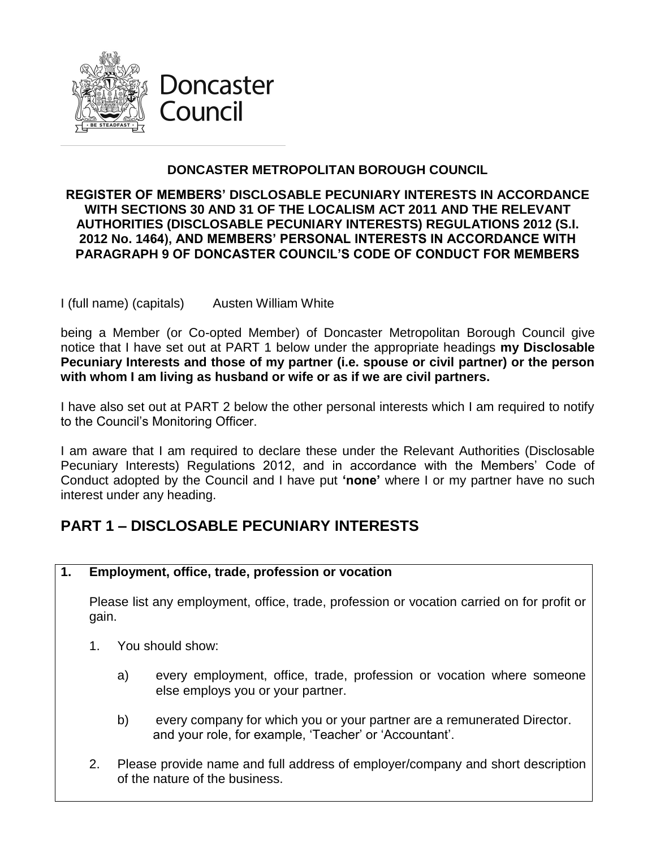

## **DONCASTER METROPOLITAN BOROUGH COUNCIL**

#### **REGISTER OF MEMBERS' DISCLOSABLE PECUNIARY INTERESTS IN ACCORDANCE WITH SECTIONS 30 AND 31 OF THE LOCALISM ACT 2011 AND THE RELEVANT AUTHORITIES (DISCLOSABLE PECUNIARY INTERESTS) REGULATIONS 2012 (S.I. 2012 No. 1464), AND MEMBERS' PERSONAL INTERESTS IN ACCORDANCE WITH PARAGRAPH 9 OF DONCASTER COUNCIL'S CODE OF CONDUCT FOR MEMBERS**

I (full name) (capitals) Austen William White

being a Member (or Co-opted Member) of Doncaster Metropolitan Borough Council give notice that I have set out at PART 1 below under the appropriate headings **my Disclosable Pecuniary Interests and those of my partner (i.e. spouse or civil partner) or the person with whom I am living as husband or wife or as if we are civil partners.**

I have also set out at PART 2 below the other personal interests which I am required to notify to the Council's Monitoring Officer.

I am aware that I am required to declare these under the Relevant Authorities (Disclosable Pecuniary Interests) Regulations 2012, and in accordance with the Members' Code of Conduct adopted by the Council and I have put **'none'** where I or my partner have no such interest under any heading.

## **PART 1 – DISCLOSABLE PECUNIARY INTERESTS**

**1. Employment, office, trade, profession or vocation**

Please list any employment, office, trade, profession or vocation carried on for profit or gain.

- 1. You should show:
	- a) every employment, office, trade, profession or vocation where someone else employs you or your partner.
	- b) every company for which you or your partner are a remunerated Director. and your role, for example, 'Teacher' or 'Accountant'.
- 2. Please provide name and full address of employer/company and short description of the nature of the business.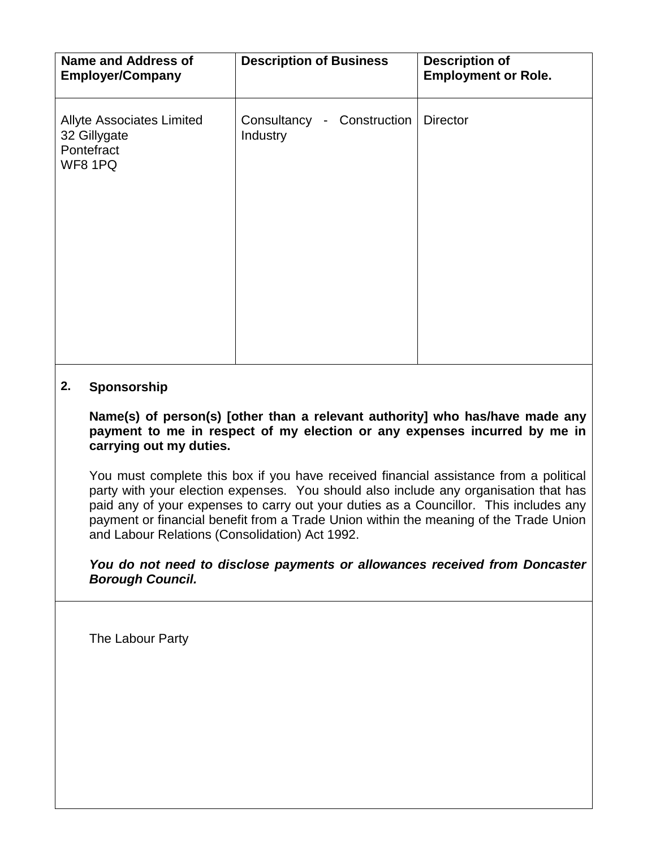| <b>Name and Address of</b><br><b>Employer/Company</b>                     | <b>Description of Business</b>         | <b>Description of</b><br><b>Employment or Role.</b> |
|---------------------------------------------------------------------------|----------------------------------------|-----------------------------------------------------|
| <b>Allyte Associates Limited</b><br>32 Gillygate<br>Pontefract<br>WF8 1PQ | Consultancy - Construction<br>Industry | <b>Director</b>                                     |

## **2. Sponsorship**

**Name(s) of person(s) [other than a relevant authority] who has/have made any payment to me in respect of my election or any expenses incurred by me in carrying out my duties.**

You must complete this box if you have received financial assistance from a political party with your election expenses. You should also include any organisation that has paid any of your expenses to carry out your duties as a Councillor. This includes any payment or financial benefit from a Trade Union within the meaning of the Trade Union and Labour Relations (Consolidation) Act 1992.

*You do not need to disclose payments or allowances received from Doncaster Borough Council.*

The Labour Party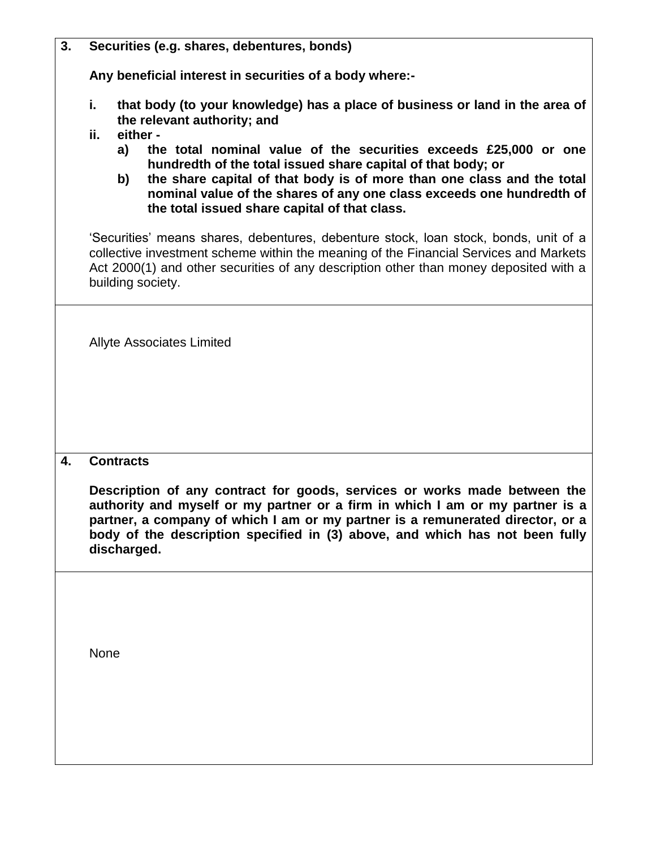| 3. | Securities (e.g. shares, debentures, bonds)                                                                                                                                                                                                                                                                                                      |  |  |
|----|--------------------------------------------------------------------------------------------------------------------------------------------------------------------------------------------------------------------------------------------------------------------------------------------------------------------------------------------------|--|--|
|    | Any beneficial interest in securities of a body where:-<br>i.<br>that body (to your knowledge) has a place of business or land in the area of<br>the relevant authority; and<br>either -<br>ii.                                                                                                                                                  |  |  |
|    |                                                                                                                                                                                                                                                                                                                                                  |  |  |
|    | the total nominal value of the securities exceeds £25,000 or one<br>a)<br>hundredth of the total issued share capital of that body; or<br>the share capital of that body is of more than one class and the total<br>b)<br>nominal value of the shares of any one class exceeds one hundredth of<br>the total issued share capital of that class. |  |  |
|    | 'Securities' means shares, debentures, debenture stock, loan stock, bonds, unit of a<br>collective investment scheme within the meaning of the Financial Services and Markets<br>Act 2000(1) and other securities of any description other than money deposited with a<br>building society.                                                      |  |  |
|    | <b>Allyte Associates Limited</b>                                                                                                                                                                                                                                                                                                                 |  |  |
| 4. | <b>Contracts</b>                                                                                                                                                                                                                                                                                                                                 |  |  |
|    | Description of any contract for goods, services or works made between the<br>authority and myself or my partner or a firm in which I am or my partner is a<br>partner, a company of which I am or my partner is a remunerated director, or a<br>body of the description specified in (3) above, and which has not been fully<br>discharged.      |  |  |
|    |                                                                                                                                                                                                                                                                                                                                                  |  |  |

None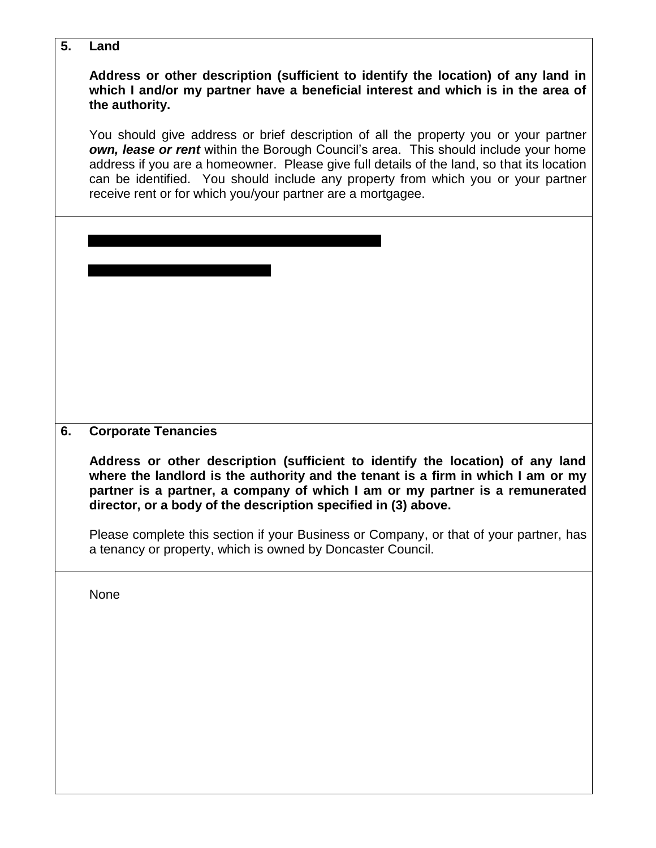**5. Land**

**Address or other description (sufficient to identify the location) of any land in which I and/or my partner have a beneficial interest and which is in the area of the authority.**

You should give address or brief description of all the property you or your partner *own, lease or rent* within the Borough Council's area. This should include your home address if you are a homeowner. Please give full details of the land, so that its location can be identified. You should include any property from which you or your partner receive rent or for which you/your partner are a mortgagee.

**6. Corporate Tenancies**

**Address or other description (sufficient to identify the location) of any land where the landlord is the authority and the tenant is a firm in which I am or my partner is a partner, a company of which I am or my partner is a remunerated director, or a body of the description specified in (3) above.**

Please complete this section if your Business or Company, or that of your partner, has a tenancy or property, which is owned by Doncaster Council.

None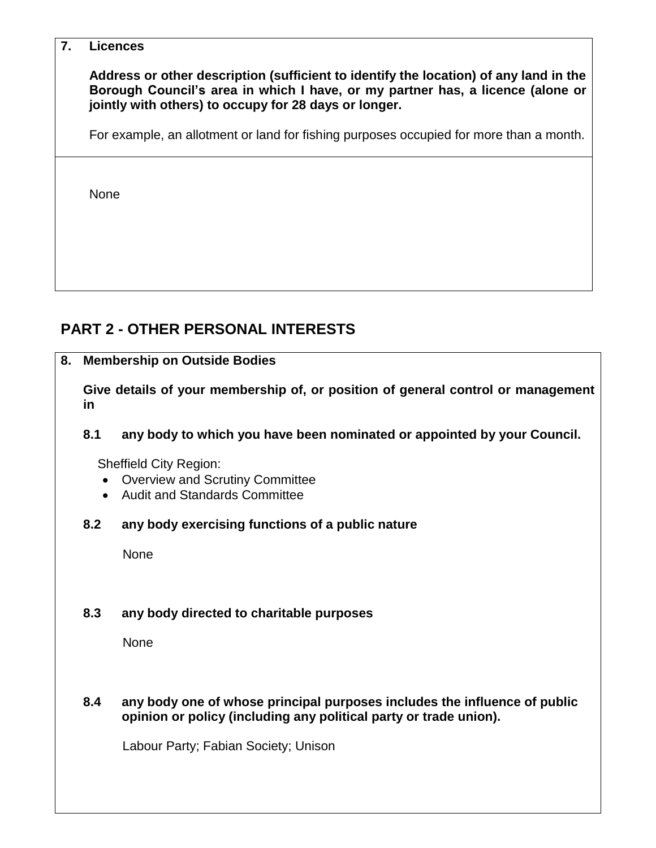#### **7. Licences**

**Address or other description (sufficient to identify the location) of any land in the Borough Council's area in which I have, or my partner has, a licence (alone or jointly with others) to occupy for 28 days or longer.**

For example, an allotment or land for fishing purposes occupied for more than a month.

None

# **PART 2 - OTHER PERSONAL INTERESTS**

**8. Membership on Outside Bodies**

**Give details of your membership of, or position of general control or management in**

#### **8.1 any body to which you have been nominated or appointed by your Council.**

Sheffield City Region:

- Overview and Scrutiny Committee
- Audit and Standards Committee

#### **8.2 any body exercising functions of a public nature**

None

## **8.3 any body directed to charitable purposes**

None

#### **8.4 any body one of whose principal purposes includes the influence of public opinion or policy (including any political party or trade union).**

Labour Party; Fabian Society; Unison